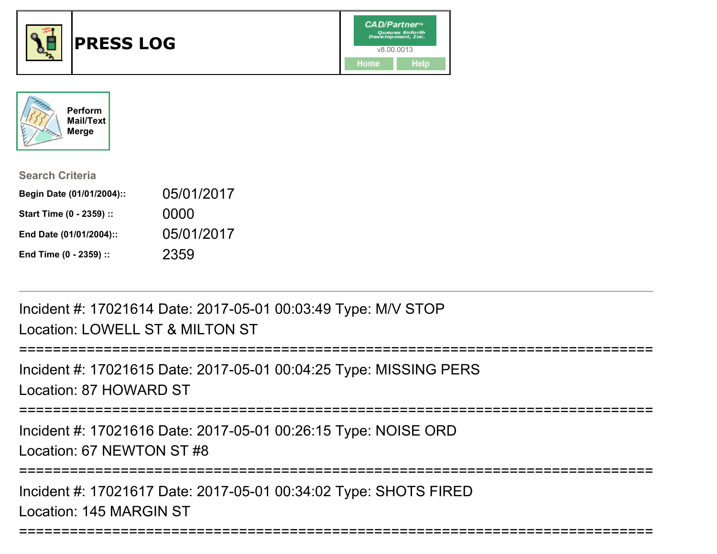



| <b>Search Criteria</b>    |            |
|---------------------------|------------|
| Begin Date (01/01/2004):: | 05/01/2017 |
| Start Time (0 - 2359) ::  | 0000       |
| End Date (01/01/2004)::   | 05/01/2017 |
| End Time (0 - 2359) ::    | 2359       |

Incident #: 17021614 Date: 2017-05-01 00:03:49 Type: M/V STOPLocation: LOWELL ST & MILTON ST

===========================================================================Incident #: 17021615 Date: 2017-05-01 00:04:25 Type: MISSING PERSLocation: 87 HOWARD ST===========================================================================Incident #: 17021616 Date: 2017-05-01 00:26:15 Type: NOISE ORDLocation: 67 NEWTON ST #8===========================================================================Incident #: 17021617 Date: 2017-05-01 00:34:02 Type: SHOTS FIRED

===========================================================================

Location: 145 MARGIN ST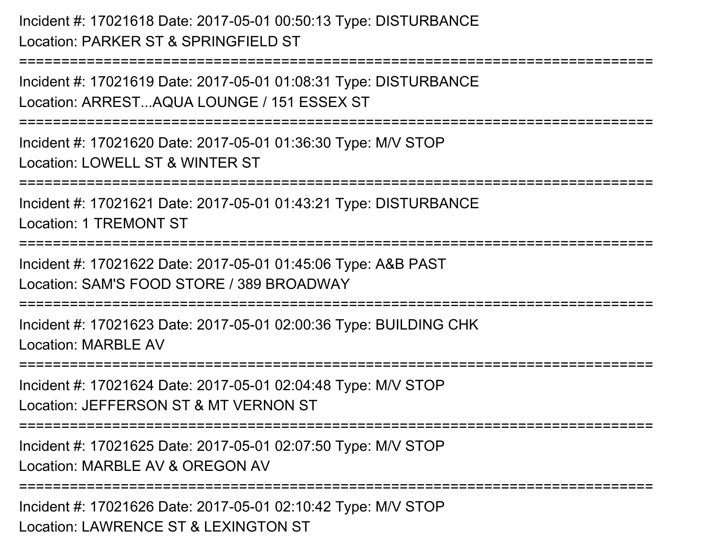Incident #: 17021618 Date: 2017-05-01 00:50:13 Type: DISTURBANCELocation: PARKER ST & SPRINGFIELD ST

===========================================================================Incident #: 17021619 Date: 2017-05-01 01:08:31 Type: DISTURBANCELocation: ARREST...AQUA LOUNGE / 151 ESSEX ST===========================================================================Incident #: 17021620 Date: 2017-05-01 01:36:30 Type: M/V STOPLocation: LOWELL ST & WINTER ST===========================================================================Incident #: 17021621 Date: 2017-05-01 01:43:21 Type: DISTURBANCELocation: 1 TREMONT ST=================== Incident #: 17021622 Date: 2017-05-01 01:45:06 Type: A&B PASTLocation: SAM'S FOOD STORE / 389 BROADWAY===========================================================================Incident #: 17021623 Date: 2017-05-01 02:00:36 Type: BUILDING CHKLocation: MARBLE AV===========================================================================Incident #: 17021624 Date: 2017-05-01 02:04:48 Type: M/V STOPLocation: JEFFERSON ST & MT VERNON ST===========================================================================Incident #: 17021625 Date: 2017-05-01 02:07:50 Type: M/V STOPLocation: MARBLE AV & OREGON AV

===========================================================================

Incident #: 17021626 Date: 2017-05-01 02:10:42 Type: M/V STOPLocation: LAWRENCE ST & LEXINGTON ST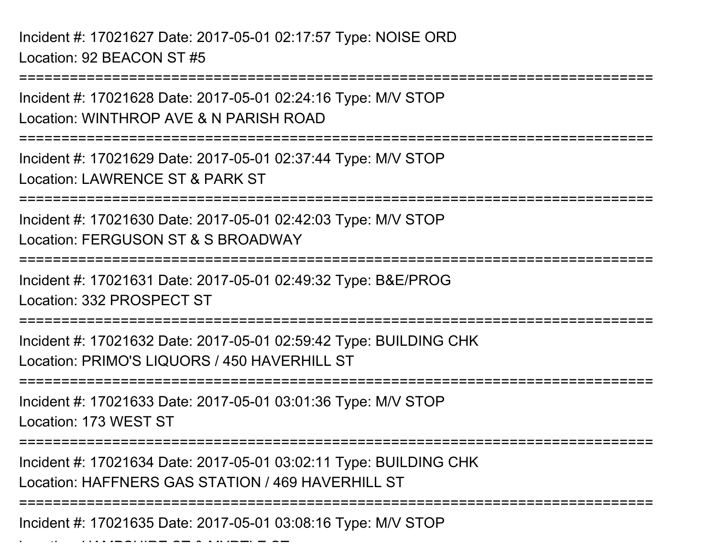Incident #: 17021627 Date: 2017-05-01 02:17:57 Type: NOISE ORDLocation: 92 BEACON ST #5

Location: HAMPSHIRE ST & MYRTLE ST

===========================================================================Incident #: 17021628 Date: 2017-05-01 02:24:16 Type: M/V STOPLocation: WINTHROP AVE & N PARISH ROAD===========================================================================Incident #: 17021629 Date: 2017-05-01 02:37:44 Type: M/V STOPLocation: LAWRENCE ST & PARK ST===========================================================================Incident #: 17021630 Date: 2017-05-01 02:42:03 Type: M/V STOPLocation: FERGUSON ST & S BROADWAY===========================================================================Incident #: 17021631 Date: 2017-05-01 02:49:32 Type: B&E/PROGLocation: 332 PROSPECT ST===========================================================================Incident #: 17021632 Date: 2017-05-01 02:59:42 Type: BUILDING CHKLocation: PRIMO'S LIQUORS / 450 HAVERHILL ST===========================================================================Incident #: 17021633 Date: 2017-05-01 03:01:36 Type: M/V STOPLocation: 173 WEST ST===========================================================================Incident #: 17021634 Date: 2017-05-01 03:02:11 Type: BUILDING CHKLocation: HAFFNERS GAS STATION / 469 HAVERHILL ST===========================================================================Incident #: 17021635 Date: 2017-05-01 03:08:16 Type: M/V STOP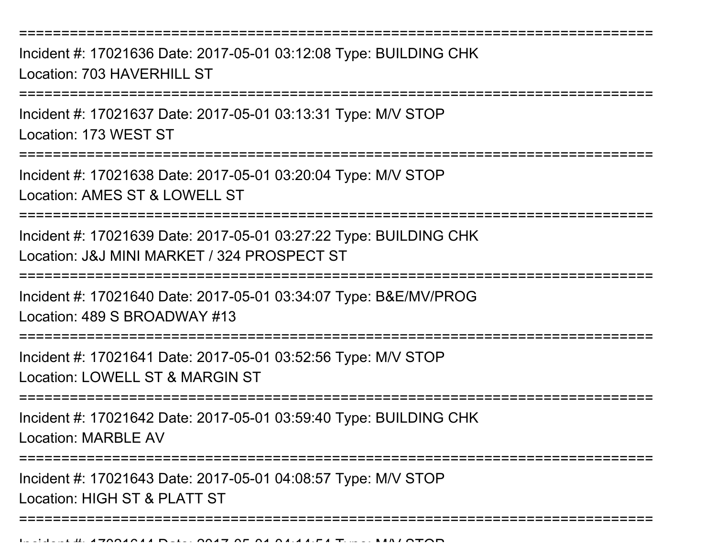Incident #: 17021636 Date: 2017-05-01 03:12:08 Type: BUILDING CHKLocation: 703 HAVERHILL ST

===========================================================================

Incident #: 17021637 Date: 2017-05-01 03:13:31 Type: M/V STOPLocation: 173 WEST ST

===========================================================================

Incident #: 17021638 Date: 2017-05-01 03:20:04 Type: M/V STOPLocation: AMES ST & LOWELL ST

===========================================================================

Incident #: 17021639 Date: 2017-05-01 03:27:22 Type: BUILDING CHKLocation: J&J MINI MARKET / 324 PROSPECT ST

===========================================================================

Incident #: 17021640 Date: 2017-05-01 03:34:07 Type: B&E/MV/PROGLocation: 489 S BROADWAY #13

===========================================================================

Incident #: 17021641 Date: 2017-05-01 03:52:56 Type: M/V STOP

Location: LOWELL ST & MARGIN ST

===========================================================================

Incident #: 17021642 Date: 2017-05-01 03:59:40 Type: BUILDING CHKLocation: MARBLE AV

===========================================================================

===========================================================================

Incident #: 17021643 Date: 2017-05-01 04:08:57 Type: M/V STOPLocation: HIGH ST & PLATT ST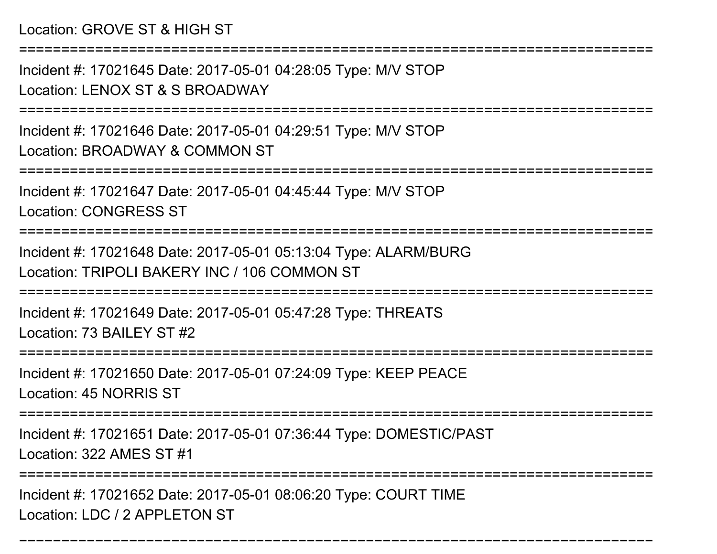Location: GROVE ST & HIGH ST

===========================================================================

Incident #: 17021645 Date: 2017-05-01 04:28:05 Type: M/V STOPLocation: LENOX ST & S BROADWAY

===========================================================================

Incident #: 17021646 Date: 2017-05-01 04:29:51 Type: M/V STOPLocation: BROADWAY & COMMON ST

===========================================================================

Incident #: 17021647 Date: 2017-05-01 04:45:44 Type: M/V STOPLocation: CONGRESS ST

===========================================================================

Incident #: 17021648 Date: 2017-05-01 05:13:04 Type: ALARM/BURGLocation: TRIPOLI BAKERY INC / 106 COMMON ST

===========================================================================

Incident #: 17021649 Date: 2017-05-01 05:47:28 Type: THREATSLocation: 73 BAILEY ST #2

===========================================================================

Incident #: 17021650 Date: 2017-05-01 07:24:09 Type: KEEP PEACELocation: 45 NORRIS ST

===========================================================================

Incident #: 17021651 Date: 2017-05-01 07:36:44 Type: DOMESTIC/PAST

Location: 322 AMES ST #1

=======================

===========================================================================

Incident #: 17021652 Date: 2017-05-01 08:06:20 Type: COURT TIMELocation: LDC / 2 APPLETON ST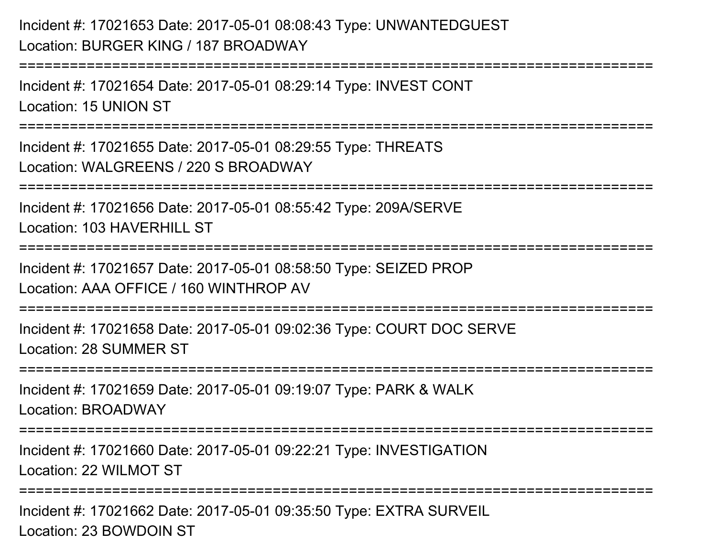## Incident #: 17021653 Date: 2017-05-01 08:08:43 Type: UNWANTEDGUESTLocation: BURGER KING / 187 BROADWAY

===========================================================================Incident #: 17021654 Date: 2017-05-01 08:29:14 Type: INVEST CONTLocation: 15 UNION ST

Incident #: 17021655 Date: 2017-05-01 08:29:55 Type: THREATS

Location: WALGREENS / 220 S BROADWAY

===========================================================================

===========================================================================

Incident #: 17021656 Date: 2017-05-01 08:55:42 Type: 209A/SERVELocation: 103 HAVERHILL ST

===========================================================================

Incident #: 17021657 Date: 2017-05-01 08:58:50 Type: SEIZED PROPLocation: AAA OFFICE / 160 WINTHROP AV

===========================================================================

Incident #: 17021658 Date: 2017-05-01 09:02:36 Type: COURT DOC SERVELocation: 28 SUMMER ST

===========================================================================

Incident #: 17021659 Date: 2017-05-01 09:19:07 Type: PARK & WALKLocation: BROADWAY

===========================================================================

Incident #: 17021660 Date: 2017-05-01 09:22:21 Type: INVESTIGATIONLocation: 22 WILMOT ST

===========================================================================

Incident #: 17021662 Date: 2017-05-01 09:35:50 Type: EXTRA SURVEILLocation: 23 BOWDOIN ST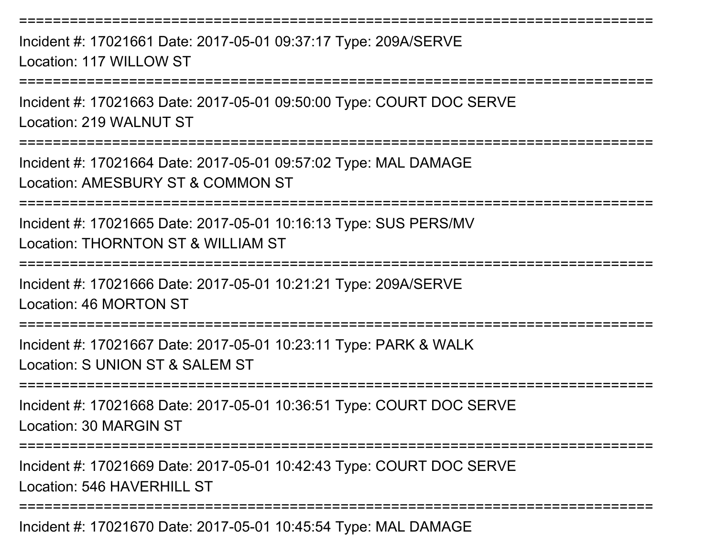Incident #: 17021661 Date: 2017-05-01 09:37:17 Type: 209A/SERVELocation: 117 WILLOW ST

===========================================================================

===========================================================================

Incident #: 17021663 Date: 2017-05-01 09:50:00 Type: COURT DOC SERVELocation: 219 WALNUT ST

===========================================================================

Incident #: 17021664 Date: 2017-05-01 09:57:02 Type: MAL DAMAGELocation: AMESBURY ST & COMMON ST

===========================================================================

Incident #: 17021665 Date: 2017-05-01 10:16:13 Type: SUS PERS/MVLocation: THORNTON ST & WILLIAM ST

===========================================================================

Incident #: 17021666 Date: 2017-05-01 10:21:21 Type: 209A/SERVELocation: 46 MORTON ST

===========================================================================

Incident #: 17021667 Date: 2017-05-01 10:23:11 Type: PARK & WALKLocation: S UNION ST & SALEM ST

===========================================================================

Incident #: 17021668 Date: 2017-05-01 10:36:51 Type: COURT DOC SERVELocation: 30 MARGIN ST

===========================================================================

Incident #: 17021669 Date: 2017-05-01 10:42:43 Type: COURT DOC SERVELocation: 546 HAVERHILL ST

===========================================================================

Incident #: 17021670 Date: 2017-05-01 10:45:54 Type: MAL DAMAGE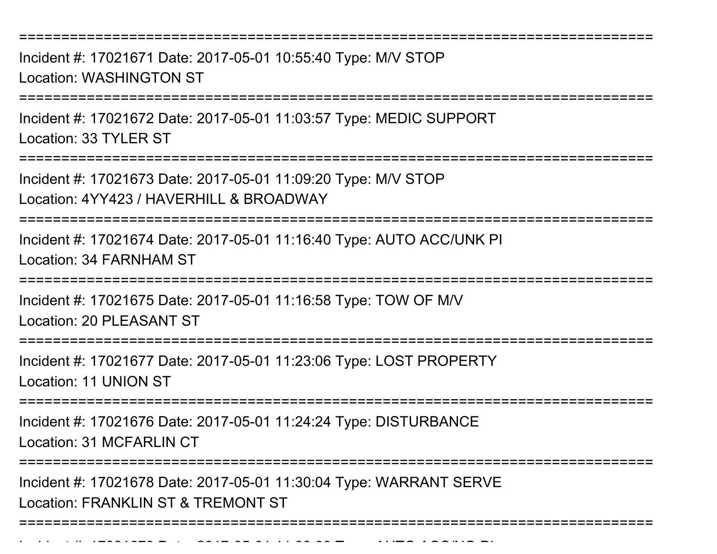Incident #: 17021671 Date: 2017-05-01 10:55:40 Type: M/V STOPLocation: WASHINGTON ST

===========================================================================

Incident #: 17021672 Date: 2017-05-01 11:03:57 Type: MEDIC SUPPORTLocation: 33 TYLER ST

===========================================================================

Incident #: 17021673 Date: 2017-05-01 11:09:20 Type: M/V STOP

Location: 4YY423 / HAVERHILL & BROADWAY

Incident #: 17021679 Date: 2017

===========================================================================

Incident #: 17021674 Date: 2017-05-01 11:16:40 Type: AUTO ACC/UNK PILocation: 34 FARNHAM ST

===========================================================================

Incident #: 17021675 Date: 2017-05-01 11:16:58 Type: TOW OF M/VLocation: 20 PLEASANT ST

===========================================================================

Incident #: 17021677 Date: 2017-05-01 11:23:06 Type: LOST PROPERTYLocation: 11 UNION ST

===========================================================================

Incident #: 17021676 Date: 2017-05-01 11:24:24 Type: DISTURBANCELocation: 31 MCFARLIN CT

=======================

Incident #: 17021678 Date: 2017-05-01 11:30:04 Type: WARRANT SERVELocation: FRANKLIN ST & TREMONT ST

===========================================================================

<sup>05</sup> 01 11:39:00 Type: AUTO ACC/NO PI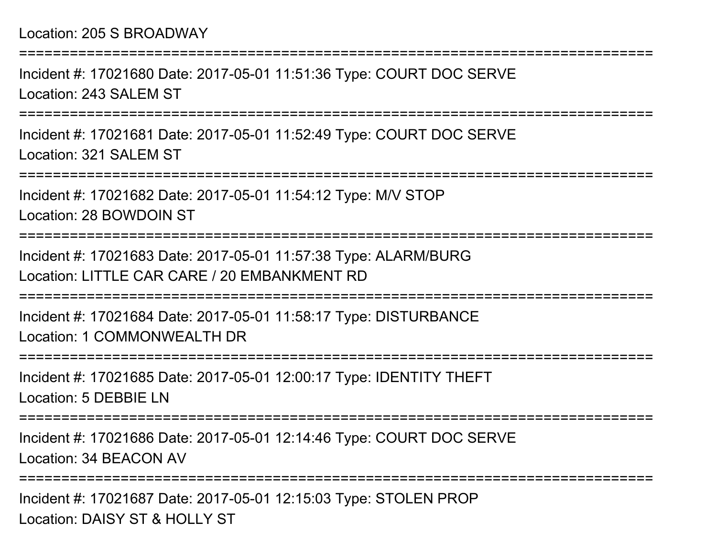## Location: 205 S BROADWAY

===========================================================================Incident #: 17021680 Date: 2017-05-01 11:51:36 Type: COURT DOC SERVELocation: 243 SALEM ST===========================================================================Incident #: 17021681 Date: 2017-05-01 11:52:49 Type: COURT DOC SERVELocation: 321 SALEM ST===========================================================================Incident #: 17021682 Date: 2017-05-01 11:54:12 Type: M/V STOPLocation: 28 BOWDOIN ST===========================================================================Incident #: 17021683 Date: 2017-05-01 11:57:38 Type: ALARM/BURGLocation: LITTLE CAR CARE / 20 EMBANKMENT RD===========================================================================Incident #: 17021684 Date: 2017-05-01 11:58:17 Type: DISTURBANCELocation: 1 COMMONWEALTH DR===========================================================================Incident #: 17021685 Date: 2017-05-01 12:00:17 Type: IDENTITY THEFTLocation: 5 DEBBIE LN===========================================================================Incident #: 17021686 Date: 2017-05-01 12:14:46 Type: COURT DOC SERVELocation: 34 BEACON AV===========================================================================

Incident #: 17021687 Date: 2017-05-01 12:15:03 Type: STOLEN PROPLocation: DAISY ST & HOLLY ST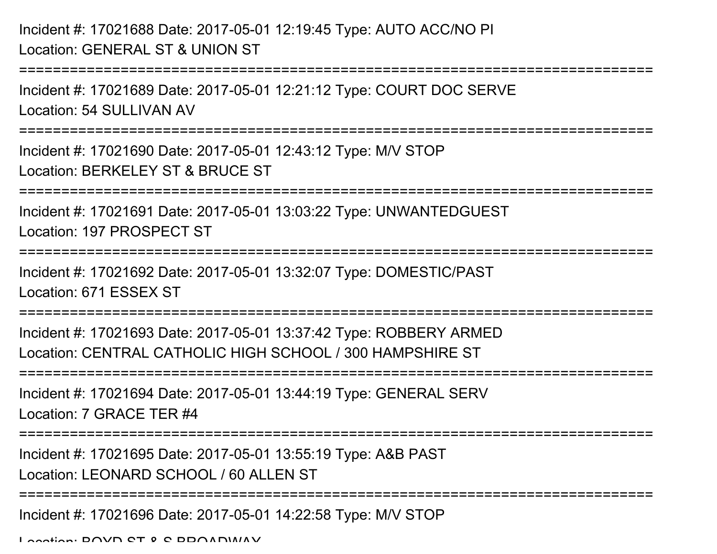Incident #: 17021688 Date: 2017-05-01 12:19:45 Type: AUTO ACC/NO PILocation: GENERAL ST & UNION ST

```
===========================================================================Incident #: 17021689 Date: 2017-05-01 12:21:12 Type: COURT DOC SERVELocation: 54 SULLIVAN AV===========================================================================Incident #: 17021690 Date: 2017-05-01 12:43:12 Type: M/V STOPLocation: BERKELEY ST & BRUCE ST===========================================================================Incident #: 17021691 Date: 2017-05-01 13:03:22 Type: UNWANTEDGUESTLocation: 197 PROSPECT ST===========================================================================Incident #: 17021692 Date: 2017-05-01 13:32:07 Type: DOMESTIC/PASTLocation: 671 ESSEX ST===========================================================================Incident #: 17021693 Date: 2017-05-01 13:37:42 Type: ROBBERY ARMEDLocation: CENTRAL CATHOLIC HIGH SCHOOL / 300 HAMPSHIRE ST===========================================================================Incident #: 17021694 Date: 2017-05-01 13:44:19 Type: GENERAL SERVLocation: 7 GRACE TER #4===========================================================================Incident #: 17021695 Date: 2017-05-01 13:55:19 Type: A&B PASTLocation: LEONARD SCHOOL / 60 ALLEN ST
```
===========================================================================

Incident #: 17021696 Date: 2017-05-01 14:22:58 Type: M/V STOP

Location: DOVD CT & C BBOADWAY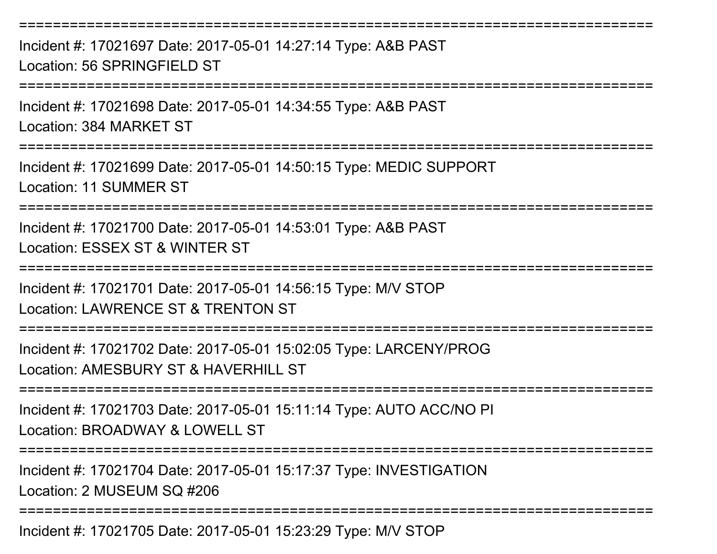Incident #: 17021697 Date: 2017-05-01 14:27:14 Type: A&B PASTLocation: 56 SPRINGFIELD ST

===========================================================================

===========================================================================

Incident #: 17021698 Date: 2017-05-01 14:34:55 Type: A&B PAST

Location: 384 MARKET ST

===========================================================================

Incident #: 17021699 Date: 2017-05-01 14:50:15 Type: MEDIC SUPPORTLocation: 11 SUMMER ST

===========================================================================

Incident #: 17021700 Date: 2017-05-01 14:53:01 Type: A&B PASTLocation: ESSEX ST & WINTER ST

===========================================================================

Incident #: 17021701 Date: 2017-05-01 14:56:15 Type: M/V STOP

Location: LAWRENCE ST & TRENTON ST

===========================================================================

Incident #: 17021702 Date: 2017-05-01 15:02:05 Type: LARCENY/PROGLocation: AMESBURY ST & HAVERHILL ST

===========================================================================

Incident #: 17021703 Date: 2017-05-01 15:11:14 Type: AUTO ACC/NO PILocation: BROADWAY & LOWELL ST

===========================================================================

Incident #: 17021704 Date: 2017-05-01 15:17:37 Type: INVESTIGATION

Location: 2 MUSEUM SQ #206

===========================================================================

Incident #: 17021705 Date: 2017-05-01 15:23:29 Type: M/V STOP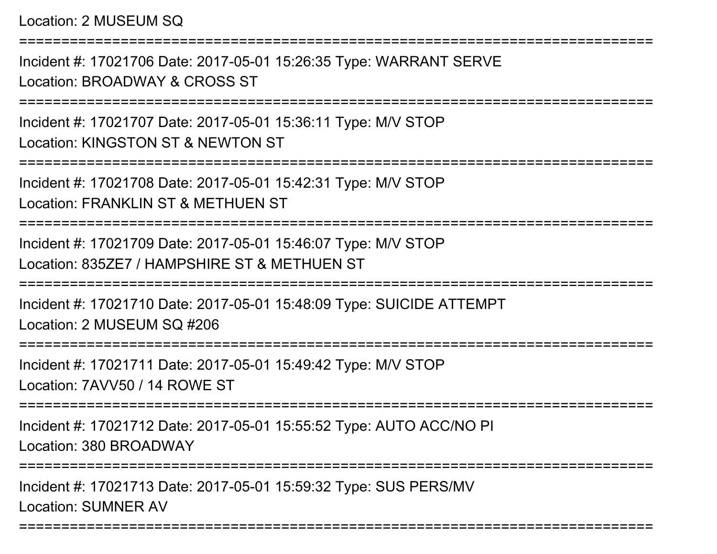Location: 2 MUSEUM SQ

===========================================================================Incident #: 17021706 Date: 2017-05-01 15:26:35 Type: WARRANT SERVELocation: BROADWAY & CROSS ST===========================================================================Incident #: 17021707 Date: 2017-05-01 15:36:11 Type: M/V STOPLocation: KINGSTON ST & NEWTON ST===========================================================================Incident #: 17021708 Date: 2017-05-01 15:42:31 Type: M/V STOPLocation: FRANKLIN ST & METHUEN ST===========================================================================Incident #: 17021709 Date: 2017-05-01 15:46:07 Type: M/V STOPLocation: 835ZE7 / HAMPSHIRE ST & METHUEN ST===========================================================================Incident #: 17021710 Date: 2017-05-01 15:48:09 Type: SUICIDE ATTEMPTLocation: 2 MUSEUM SQ #206===========================================================================Incident #: 17021711 Date: 2017-05-01 15:49:42 Type: M/V STOPLocation: 7AVV50 / 14 ROWE ST===========================================================================Incident #: 17021712 Date: 2017-05-01 15:55:52 Type: AUTO ACC/NO PILocation: 380 BROADWAY

===========================================================================

Incident #: 17021713 Date: 2017-05-01 15:59:32 Type: SUS PERS/MVLocation: SUMNER AV

===========================================================================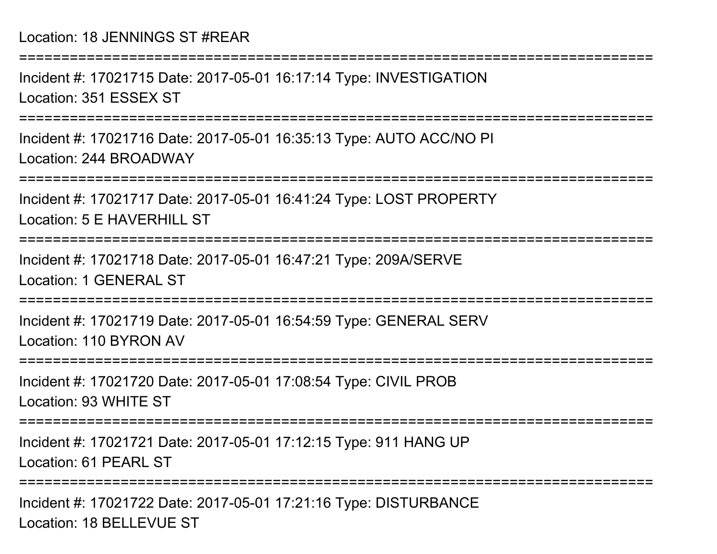Incident #: 17021715 Date: 2017-05-01 16:17:14 Type: INVESTIGATIONLocation: 351 ESSEX ST

===========================================================================

Incident #: 17021716 Date: 2017-05-01 16:35:13 Type: AUTO ACC/NO PILocation: 244 BROADWAY

===========================================================================

Incident #: 17021717 Date: 2017-05-01 16:41:24 Type: LOST PROPERTYLocation: 5 E HAVERHILL ST

===========================================================================

Incident #: 17021718 Date: 2017-05-01 16:47:21 Type: 209A/SERVELocation: 1 GENERAL ST

==============

Incident #: 17021719 Date: 2017-05-01 16:54:59 Type: GENERAL SERVLocation: 110 BYRON AV

===========================================================================

Incident #: 17021720 Date: 2017-05-01 17:08:54 Type: CIVIL PROBLocation: 93 WHITE ST

===========================================================================

Incident #: 17021721 Date: 2017-05-01 17:12:15 Type: 911 HANG UPLocation: 61 PEARL ST

===========================================================================

Incident #: 17021722 Date: 2017-05-01 17:21:16 Type: DISTURBANCELocation: 18 BELLEVUE ST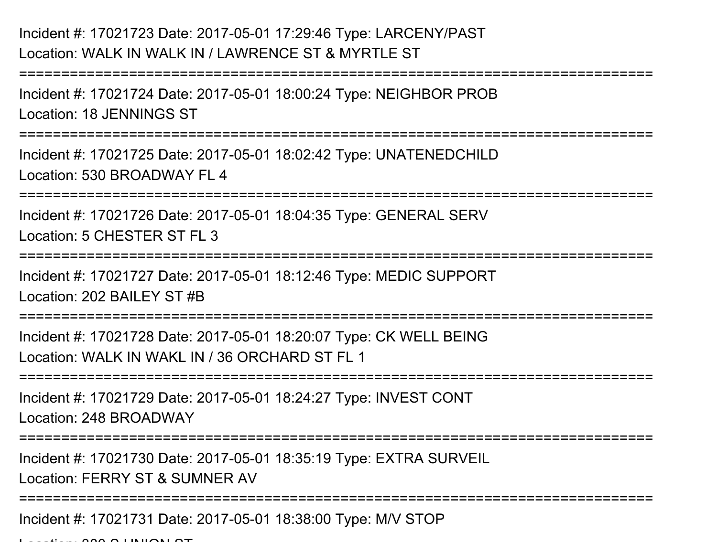## Incident #: 17021723 Date: 2017-05-01 17:29:46 Type: LARCENY/PASTLocation: WALK IN WALK IN / LAWRENCE ST & MYRTLE ST

===========================================================================Incident #: 17021724 Date: 2017-05-01 18:00:24 Type: NEIGHBOR PROBLocation: 18 JENNINGS ST===========================================================================Incident #: 17021725 Date: 2017-05-01 18:02:42 Type: UNATENEDCHILDLocation: 530 BROADWAY FL 4===========================================================================Incident #: 17021726 Date: 2017-05-01 18:04:35 Type: GENERAL SERVLocation: 5 CHESTER ST FL 3===========================================================================Incident #: 17021727 Date: 2017-05-01 18:12:46 Type: MEDIC SUPPORTLocation: 202 BAILEY ST #B===========================================================================Incident #: 17021728 Date: 2017-05-01 18:20:07 Type: CK WELL BEINGLocation: WALK IN WAKL IN / 36 ORCHARD ST FL 1===========================================================================Incident #: 17021729 Date: 2017-05-01 18:24:27 Type: INVEST CONTLocation: 248 BROADWAY===========================================================================

Incident #: 17021730 Date: 2017-05-01 18:35:19 Type: EXTRA SURVEILLocation: FERRY ST & SUMNER AV

=============================

Incident #: 17021731 Date: 2017-05-01 18:38:00 Type: M/V STOP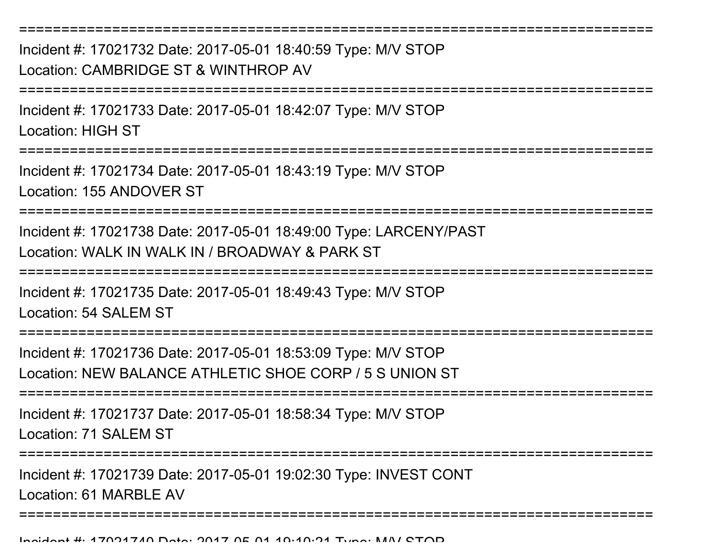===========================================================================Incident #: 17021732 Date: 2017-05-01 18:40:59 Type: M/V STOPLocation: CAMBRIDGE ST & WINTHROP AV===========================================================================Incident #: 17021733 Date: 2017-05-01 18:42:07 Type: M/V STOPLocation: HIGH ST===========================================================================Incident #: 17021734 Date: 2017-05-01 18:43:19 Type: M/V STOPLocation: 155 ANDOVER ST===========================================================================Incident #: 17021738 Date: 2017-05-01 18:49:00 Type: LARCENY/PASTLocation: WALK IN WALK IN / BROADWAY & PARK ST===========================================================================Incident #: 17021735 Date: 2017-05-01 18:49:43 Type: M/V STOPLocation: 54 SALEM ST===========================================================================Incident #: 17021736 Date: 2017-05-01 18:53:09 Type: M/V STOP Location: NEW BALANCE ATHLETIC SHOE CORP / 5 S UNION ST===========================================================================Incident #: 17021737 Date: 2017-05-01 18:58:34 Type: M/V STOPLocation: 71 SALEM ST===========================================================================Incident #: 17021739 Date: 2017-05-01 19:02:30 Type: INVEST CONTLocation: 61 MARBLE AV ===========================================================================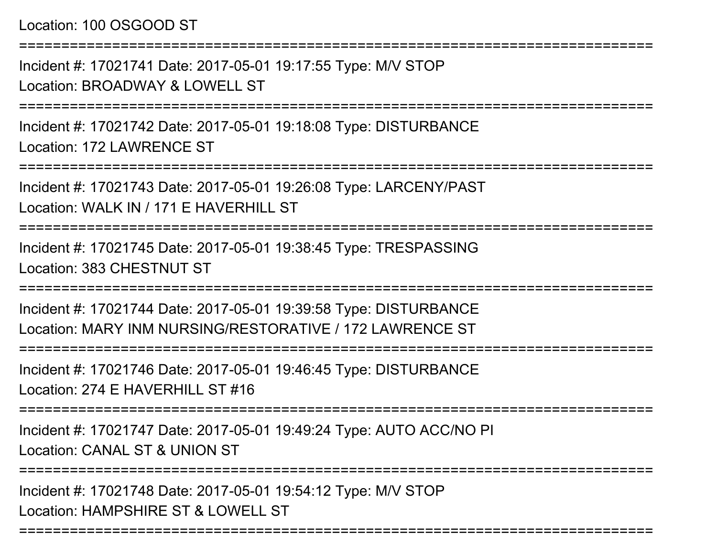## Location: 100 OSGOOD ST

===========================================================================

Incident #: 17021741 Date: 2017-05-01 19:17:55 Type: M/V STOPLocation: BROADWAY & LOWELL ST

===========================================================================

Incident #: 17021742 Date: 2017-05-01 19:18:08 Type: DISTURBANCELocation: 172 LAWRENCE ST

===========================================================================

Incident #: 17021743 Date: 2017-05-01 19:26:08 Type: LARCENY/PASTLocation: WALK IN / 171 F HAVERHILL ST

===========================================================================

Incident #: 17021745 Date: 2017-05-01 19:38:45 Type: TRESPASSINGLocation: 383 CHESTNUT ST

===========================================================================

Incident #: 17021744 Date: 2017-05-01 19:39:58 Type: DISTURBANCELocation: MARY INM NURSING/RESTORATIVE / 172 LAWRENCE ST

===========================================================================

Incident #: 17021746 Date: 2017-05-01 19:46:45 Type: DISTURBANCE

Location: 274 E HAVERHILL ST #16

===========================================================================

Incident #: 17021747 Date: 2017-05-01 19:49:24 Type: AUTO ACC/NO PILocation: CANAL ST & UNION ST

===========================================================================

Incident #: 17021748 Date: 2017-05-01 19:54:12 Type: M/V STOPLocation: HAMPSHIRE ST & LOWELL ST

===========================================================================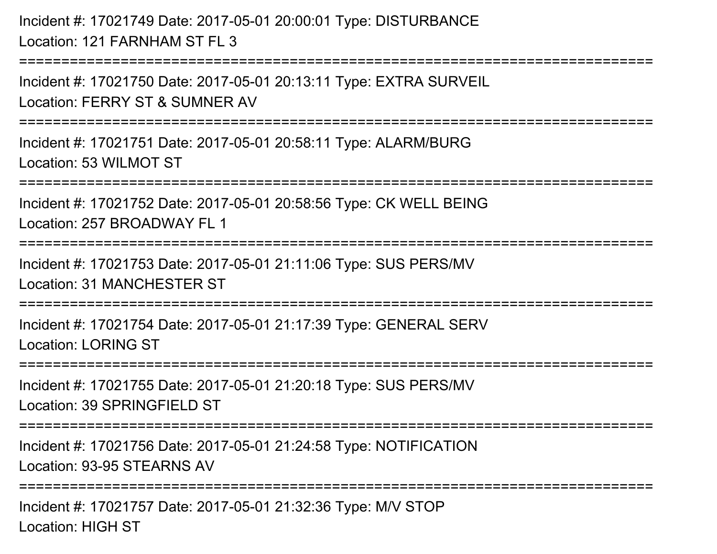Incident #: 17021749 Date: 2017-05-01 20:00:01 Type: DISTURBANCELocation: 121 FARNHAM ST FL 3

===========================================================================

Incident #: 17021750 Date: 2017-05-01 20:13:11 Type: EXTRA SURVEILLocation: FERRY ST & SUMNER AV

===========================================================================

Incident #: 17021751 Date: 2017-05-01 20:58:11 Type: ALARM/BURGLocation: 53 WILMOT ST

===========================================================================

Incident #: 17021752 Date: 2017-05-01 20:58:56 Type: CK WELL BEINGLocation: 257 BROADWAY FL 1

```
===========================================================================
```
Incident #: 17021753 Date: 2017-05-01 21:11:06 Type: SUS PERS/MVLocation: 31 MANCHESTER ST

===========================================================================

Incident #: 17021754 Date: 2017-05-01 21:17:39 Type: GENERAL SERVLocation: LORING ST

===========================================================================

Incident #: 17021755 Date: 2017-05-01 21:20:18 Type: SUS PERS/MVLocation: 39 SPRINGFIFLD ST

===========================================================================

Incident #: 17021756 Date: 2017-05-01 21:24:58 Type: NOTIFICATIONLocation: 93-95 STEARNS AV

===========================================================================

Incident #: 17021757 Date: 2017-05-01 21:32:36 Type: M/V STOPLocation: HIGH ST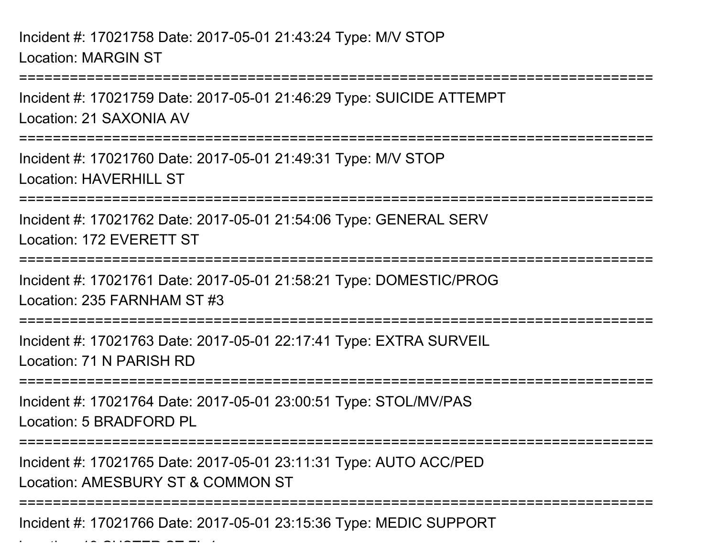===========================================================================Incident #: 17021759 Date: 2017-05-01 21:46:29 Type: SUICIDE ATTEMPTLocation: 21 SAXONIA AV===========================================================================Incident #: 17021760 Date: 2017-05-01 21:49:31 Type: M/V STOPLocation: HAVERHILL ST ===========================================================================Incident #: 17021762 Date: 2017-05-01 21:54:06 Type: GENERAL SERVLocation: 172 EVERETT ST===========================================================================Incident #: 17021761 Date: 2017-05-01 21:58:21 Type: DOMESTIC/PROGLocation: 235 FARNHAM ST #3===========================================================================Incident #: 17021763 Date: 2017-05-01 22:17:41 Type: EXTRA SURVEILLocation: 71 N PARISH RD ===========================================================================Incident #: 17021764 Date: 2017-05-01 23:00:51 Type: STOL/MV/PASLocation: 5 BRADFORD PL===========================================================================Incident #: 17021765 Date: 2017-05-01 23:11:31 Type: AUTO ACC/PEDLocation: AMESBURY ST & COMMON ST===========================================================================

Incident #: 17021766 Date: 2017-05-01 23:15:36 Type: MEDIC SUPPORT

 $\mathcal{L}$  and  $\mathcal{L}$  customers state  $\mathcal{L}$